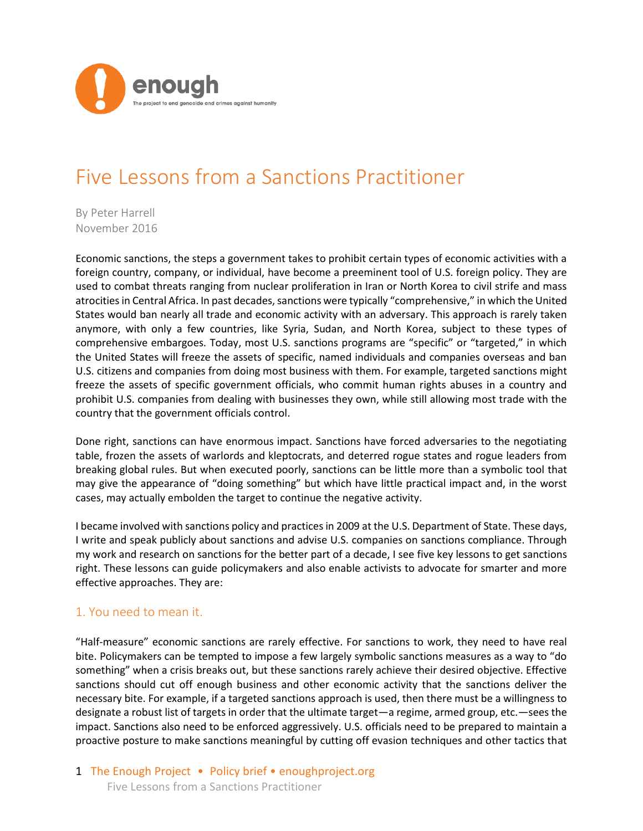

# Five Lessons from a Sanctions Practitioner

By Peter Harrell November 2016

Economic sanctions, the steps a government takes to prohibit certain types of economic activities with a foreign country, company, or individual, have become a preeminent tool of U.S. foreign policy. They are used to combat threats ranging from nuclear proliferation in Iran or North Korea to civil strife and mass atrocities in Central Africa. In past decades, sanctions were typically "comprehensive," in which the United States would ban nearly all trade and economic activity with an adversary. This approach is rarely taken anymore, with only a few countries, like Syria, Sudan, and North Korea, subject to these types of comprehensive embargoes. Today, most U.S. sanctions programs are "specific" or "targeted," in which the United States will freeze the assets of specific, named individuals and companies overseas and ban U.S. citizens and companies from doing most business with them. For example, targeted sanctions might freeze the assets of specific government officials, who commit human rights abuses in a country and prohibit U.S. companies from dealing with businesses they own, while still allowing most trade with the country that the government officials control.

Done right, sanctions can have enormous impact. Sanctions have forced adversaries to the negotiating table, frozen the assets of warlords and kleptocrats, and deterred rogue states and rogue leaders from breaking global rules. But when executed poorly, sanctions can be little more than a symbolic tool that may give the appearance of "doing something" but which have little practical impact and, in the worst cases, may actually embolden the target to continue the negative activity.

I became involved with sanctions policy and practices in 2009 at the U.S. Department of State. These days, I write and speak publicly about sanctions and advise U.S. companies on sanctions compliance. Through my work and research on sanctions for the better part of a decade, I see five key lessons to get sanctions right. These lessons can guide policymakers and also enable activists to advocate for smarter and more effective approaches. They are:

## 1. You need to mean it.

"Half-measure" economic sanctions are rarely effective. For sanctions to work, they need to have real bite. Policymakers can be tempted to impose a few largely symbolic sanctions measures as a way to "do something" when a crisis breaks out, but these sanctions rarely achieve their desired objective. Effective sanctions should cut off enough business and other economic activity that the sanctions deliver the necessary bite. For example, if a targeted sanctions approach is used, then there must be a willingness to designate a robust list of targets in order that the ultimate target—a regime, armed group, etc.—sees the impact. Sanctions also need to be enforced aggressively. U.S. officials need to be prepared to maintain a proactive posture to make sanctions meaningful by cutting off evasion techniques and other tactics that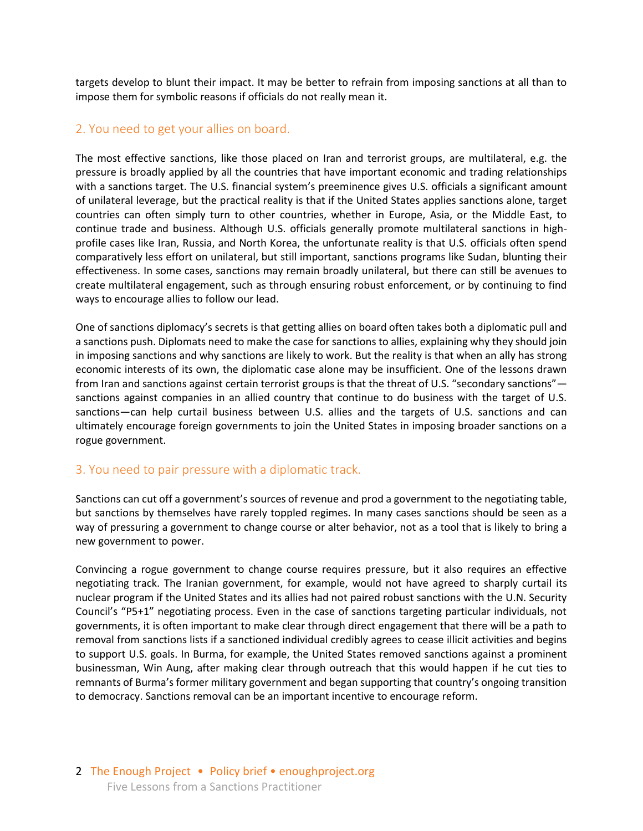targets develop to blunt their impact. It may be better to refrain from imposing sanctions at all than to impose them for symbolic reasons if officials do not really mean it.

#### 2. You need to get your allies on board.

The most effective sanctions, like those placed on Iran and terrorist groups, are multilateral, e.g. the pressure is broadly applied by all the countries that have important economic and trading relationships with a sanctions target. The U.S. financial system's preeminence gives U.S. officials a significant amount of unilateral leverage, but the practical reality is that if the United States applies sanctions alone, target countries can often simply turn to other countries, whether in Europe, Asia, or the Middle East, to continue trade and business. Although U.S. officials generally promote multilateral sanctions in highprofile cases like Iran, Russia, and North Korea, the unfortunate reality is that U.S. officials often spend comparatively less effort on unilateral, but still important, sanctions programs like Sudan, blunting their effectiveness. In some cases, sanctions may remain broadly unilateral, but there can still be avenues to create multilateral engagement, such as through ensuring robust enforcement, or by continuing to find ways to encourage allies to follow our lead.

One of sanctions diplomacy's secrets is that getting allies on board often takes both a diplomatic pull and a sanctions push. Diplomats need to make the case for sanctions to allies, explaining why they should join in imposing sanctions and why sanctions are likely to work. But the reality is that when an ally has strong economic interests of its own, the diplomatic case alone may be insufficient. One of the lessons drawn from Iran and sanctions against certain terrorist groups is that the threat of U.S. "secondary sanctions" sanctions against companies in an allied country that continue to do business with the target of U.S. sanctions—can help curtail business between U.S. allies and the targets of U.S. sanctions and can ultimately encourage foreign governments to join the United States in imposing broader sanctions on a rogue government.

### 3. You need to pair pressure with a diplomatic track.

Sanctions can cut off a government's sources of revenue and prod a government to the negotiating table, but sanctions by themselves have rarely toppled regimes. In many cases sanctions should be seen as a way of pressuring a government to change course or alter behavior, not as a tool that is likely to bring a new government to power.

Convincing a rogue government to change course requires pressure, but it also requires an effective negotiating track. The Iranian government, for example, would not have agreed to sharply curtail its nuclear program if the United States and its allies had not paired robust sanctions with the U.N. Security Council's "P5+1" negotiating process. Even in the case of sanctions targeting particular individuals, not governments, it is often important to make clear through direct engagement that there will be a path to removal from sanctions lists if a sanctioned individual credibly agrees to cease illicit activities and begins to support U.S. goals. In Burma, for example, the United States removed sanctions against a prominent businessman, Win Aung, after making clear through outreach that this would happen if he cut ties to remnants of Burma's former military government and began supporting that country's ongoing transition to democracy. Sanctions removal can be an important incentive to encourage reform.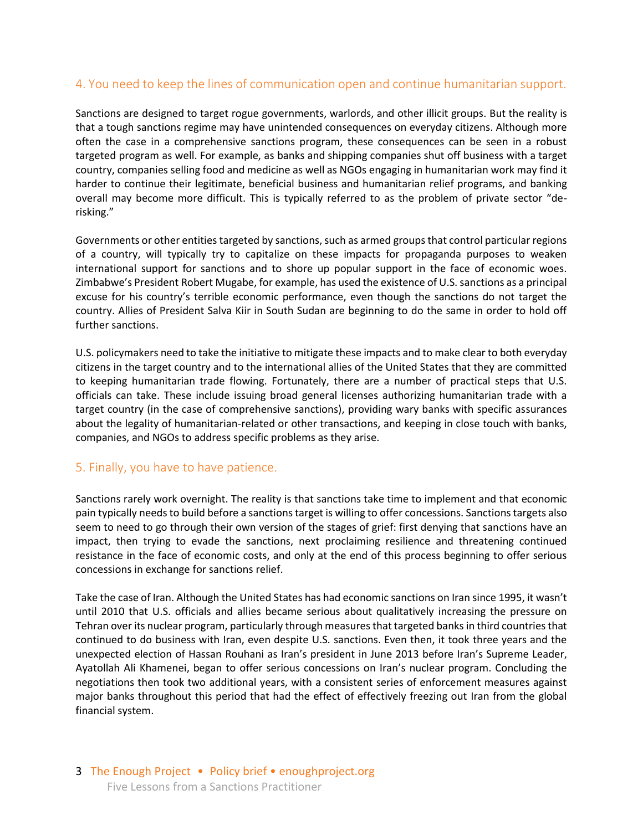## 4. You need to keep the lines of communication open and continue humanitarian support.

Sanctions are designed to target rogue governments, warlords, and other illicit groups. But the reality is that a tough sanctions regime may have unintended consequences on everyday citizens. Although more often the case in a comprehensive sanctions program, these consequences can be seen in a robust targeted program as well. For example, as banks and shipping companies shut off business with a target country, companies selling food and medicine as well as NGOs engaging in humanitarian work may find it harder to continue their legitimate, beneficial business and humanitarian relief programs, and banking overall may become more difficult. This is typically referred to as the problem of private sector "derisking."

Governments or other entities targeted by sanctions, such as armed groups that control particular regions of a country, will typically try to capitalize on these impacts for propaganda purposes to weaken international support for sanctions and to shore up popular support in the face of economic woes. Zimbabwe's President Robert Mugabe, for example, has used the existence of U.S. sanctions as a principal excuse for his country's terrible economic performance, even though the sanctions do not target the country. Allies of President Salva Kiir in South Sudan are beginning to do the same in order to hold off further sanctions.

U.S. policymakers need to take the initiative to mitigate these impacts and to make clear to both everyday citizens in the target country and to the international allies of the United States that they are committed to keeping humanitarian trade flowing. Fortunately, there are a number of practical steps that U.S. officials can take. These include issuing broad general licenses authorizing humanitarian trade with a target country (in the case of comprehensive sanctions), providing wary banks with specific assurances about the legality of humanitarian-related or other transactions, and keeping in close touch with banks, companies, and NGOs to address specific problems as they arise.

### 5. Finally, you have to have patience.

Sanctions rarely work overnight. The reality is that sanctions take time to implement and that economic pain typically needs to build before a sanctions target is willing to offer concessions. Sanctions targets also seem to need to go through their own version of the stages of grief: first denying that sanctions have an impact, then trying to evade the sanctions, next proclaiming resilience and threatening continued resistance in the face of economic costs, and only at the end of this process beginning to offer serious concessions in exchange for sanctions relief.

Take the case of Iran. Although the United States has had economic sanctions on Iran since 1995, it wasn't until 2010 that U.S. officials and allies became serious about qualitatively increasing the pressure on Tehran over its nuclear program, particularly through measures that targeted banks in third countries that continued to do business with Iran, even despite U.S. sanctions. Even then, it took three years and the unexpected election of Hassan Rouhani as Iran's president in June 2013 before Iran's Supreme Leader, Ayatollah Ali Khamenei, began to offer serious concessions on Iran's nuclear program. Concluding the negotiations then took two additional years, with a consistent series of enforcement measures against major banks throughout this period that had the effect of effectively freezing out Iran from the global financial system.